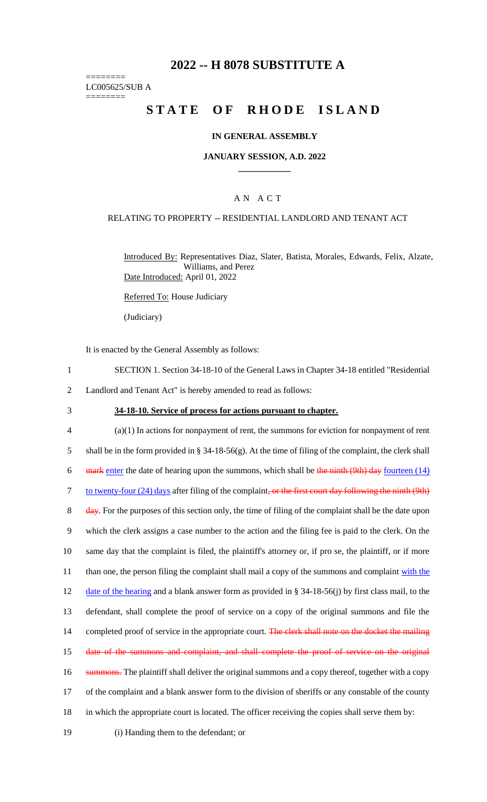# **2022 -- H 8078 SUBSTITUTE A**

======== LC005625/SUB A

========

# **STATE OF RHODE ISLAND**

### **IN GENERAL ASSEMBLY**

#### **JANUARY SESSION, A.D. 2022 \_\_\_\_\_\_\_\_\_\_\_\_**

### A N A C T

#### RELATING TO PROPERTY -- RESIDENTIAL LANDLORD AND TENANT ACT

Introduced By: Representatives Diaz, Slater, Batista, Morales, Edwards, Felix, Alzate, Williams, and Perez Date Introduced: April 01, 2022

Referred To: House Judiciary

(Judiciary)

It is enacted by the General Assembly as follows:

- 1 SECTION 1. Section 34-18-10 of the General Laws in Chapter 34-18 entitled "Residential
- 2 Landlord and Tenant Act" is hereby amended to read as follows:
- 

### 3 **34-18-10. Service of process for actions pursuant to chapter.**

4 (a)(1) In actions for nonpayment of rent, the summons for eviction for nonpayment of rent 5 shall be in the form provided in § 34-18-56(g). At the time of filing of the complaint, the clerk shall 6 mark enter the date of hearing upon the summons, which shall be the ninth (9th) day fourteen  $(14)$ 7 to twenty-four (24) days after filing of the complaint, or the first court day following the ninth (9th) 8 day. For the purposes of this section only, the time of filing of the complaint shall be the date upon 9 which the clerk assigns a case number to the action and the filing fee is paid to the clerk. On the 10 same day that the complaint is filed, the plaintiff's attorney or, if pro se, the plaintiff, or if more 11 than one, the person filing the complaint shall mail a copy of the summons and complaint with the 12 date of the hearing and a blank answer form as provided in § 34-18-56(j) by first class mail, to the 13 defendant, shall complete the proof of service on a copy of the original summons and file the 14 completed proof of service in the appropriate court. The clerk shall note on the docket the mailing 15 date of the summons and complaint, and shall complete the proof of service on the original 16 summons. The plaintiff shall deliver the original summons and a copy thereof, together with a copy 17 of the complaint and a blank answer form to the division of sheriffs or any constable of the county 18 in which the appropriate court is located. The officer receiving the copies shall serve them by: 19 (i) Handing them to the defendant; or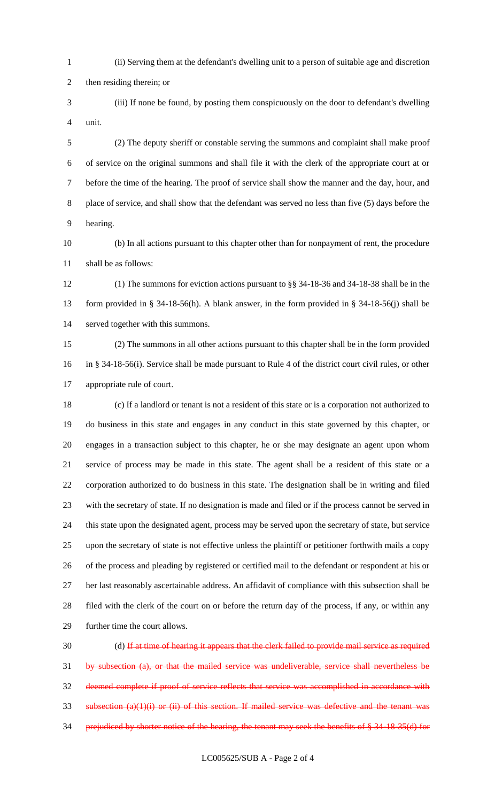(ii) Serving them at the defendant's dwelling unit to a person of suitable age and discretion

then residing therein; or

 (iii) If none be found, by posting them conspicuously on the door to defendant's dwelling unit.

 (2) The deputy sheriff or constable serving the summons and complaint shall make proof of service on the original summons and shall file it with the clerk of the appropriate court at or before the time of the hearing. The proof of service shall show the manner and the day, hour, and place of service, and shall show that the defendant was served no less than five (5) days before the hearing.

 (b) In all actions pursuant to this chapter other than for nonpayment of rent, the procedure shall be as follows:

 (1) The summons for eviction actions pursuant to §§ 34-18-36 and 34-18-38 shall be in the form provided in § 34-18-56(h). A blank answer, in the form provided in § 34-18-56(j) shall be served together with this summons.

 (2) The summons in all other actions pursuant to this chapter shall be in the form provided in § 34-18-56(i). Service shall be made pursuant to Rule 4 of the district court civil rules, or other appropriate rule of court.

 (c) If a landlord or tenant is not a resident of this state or is a corporation not authorized to do business in this state and engages in any conduct in this state governed by this chapter, or engages in a transaction subject to this chapter, he or she may designate an agent upon whom service of process may be made in this state. The agent shall be a resident of this state or a corporation authorized to do business in this state. The designation shall be in writing and filed with the secretary of state. If no designation is made and filed or if the process cannot be served in this state upon the designated agent, process may be served upon the secretary of state, but service upon the secretary of state is not effective unless the plaintiff or petitioner forthwith mails a copy of the process and pleading by registered or certified mail to the defendant or respondent at his or her last reasonably ascertainable address. An affidavit of compliance with this subsection shall be filed with the clerk of the court on or before the return day of the process, if any, or within any further time the court allows.

 (d) If at time of hearing it appears that the clerk failed to provide mail service as required by subsection (a), or that the mailed service was undeliverable, service shall nevertheless be deemed complete if proof of service reflects that service was accomplished in accordance with subsection  $(a)(1)(i)$  or  $(ii)$  of this section. If mailed service was defective and the tenant was prejudiced by shorter notice of the hearing, the tenant may seek the benefits of § 34-18-35(d) for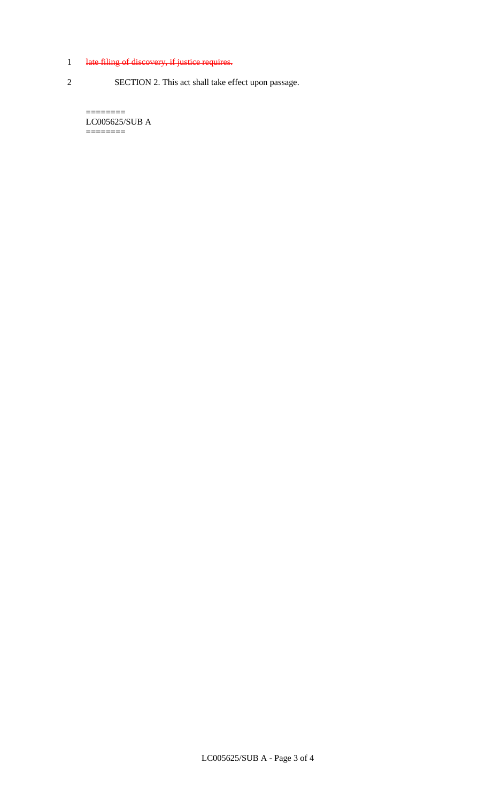# 1 late filing of discovery, if justice requires.

2 SECTION 2. This act shall take effect upon passage.

======== LC005625/SUB A ========